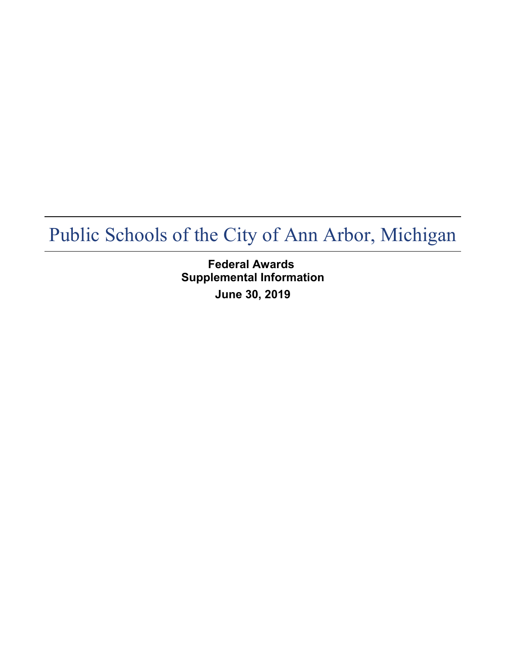**Federal Awards Supplemental Information June 30, 2019**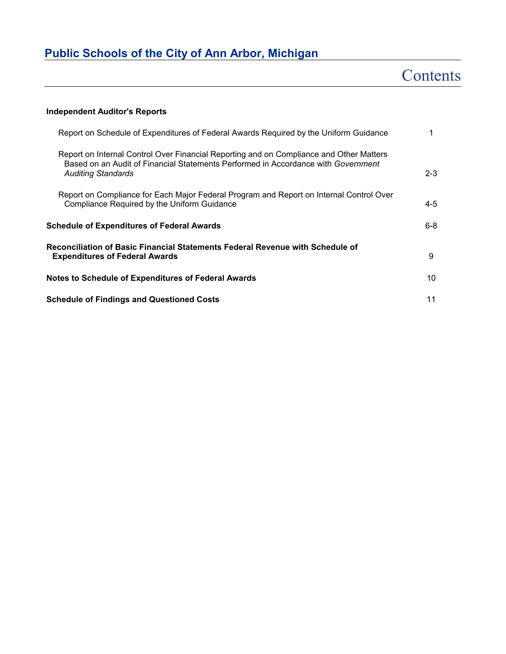# **Contents**

# **Independent Auditor's Reports**

| Report on Schedule of Expenditures of Federal Awards Required by the Uniform Guidance                                                                                                                     |         |
|-----------------------------------------------------------------------------------------------------------------------------------------------------------------------------------------------------------|---------|
| Report on Internal Control Over Financial Reporting and on Compliance and Other Matters<br>Based on an Audit of Financial Statements Performed in Accordance with Government<br><b>Auditing Standards</b> | $2 - 3$ |
| Report on Compliance for Each Major Federal Program and Report on Internal Control Over<br>Compliance Required by the Uniform Guidance                                                                    | $4 - 5$ |
| <b>Schedule of Expenditures of Federal Awards</b>                                                                                                                                                         | $6 - 8$ |
| Reconciliation of Basic Financial Statements Federal Revenue with Schedule of<br><b>Expenditures of Federal Awards</b>                                                                                    | 9       |
| <b>Notes to Schedule of Expenditures of Federal Awards</b>                                                                                                                                                | 10      |
| <b>Schedule of Findings and Questioned Costs</b>                                                                                                                                                          | 11      |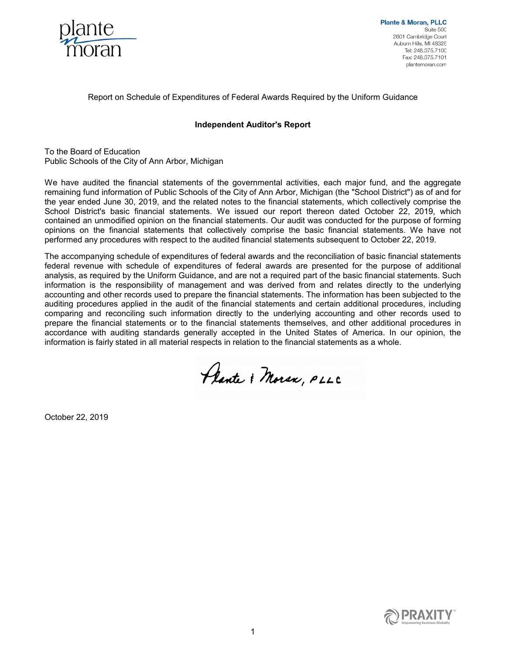

Report on Schedule of Expenditures of Federal Awards Required by the Uniform Guidance

### **Independent Auditor's Report**

To the Board of Education Public Schools of the City of Ann Arbor, Michigan

We have audited the financial statements of the governmental activities, each major fund, and the aggregate remaining fund information of Public Schools of the City of Ann Arbor, Michigan (the "School District") as of and for the year ended June 30, 2019, and the related notes to the financial statements, which collectively comprise the School District's basic financial statements. We issued our report thereon dated October 22, 2019, which contained an unmodified opinion on the financial statements. Our audit was conducted for the purpose of forming opinions on the financial statements that collectively comprise the basic financial statements. We have not performed any procedures with respect to the audited financial statements subsequent to October 22, 2019.

The accompanying schedule of expenditures of federal awards and the reconciliation of basic financial statements federal revenue with schedule of expenditures of federal awards are presented for the purpose of additional analysis, as required by the Uniform Guidance, and are not a required part of the basic financial statements. Such information is the responsibility of management and was derived from and relates directly to the underlying accounting and other records used to prepare the financial statements. The information has been subjected to the auditing procedures applied in the audit of the financial statements and certain additional procedures, including comparing and reconciling such information directly to the underlying accounting and other records used to prepare the financial statements or to the financial statements themselves, and other additional procedures in accordance with auditing standards generally accepted in the United States of America. In our opinion, the information is fairly stated in all material respects in relation to the financial statements as a whole.

Plante & Moran, PLLC

October 22, 2019

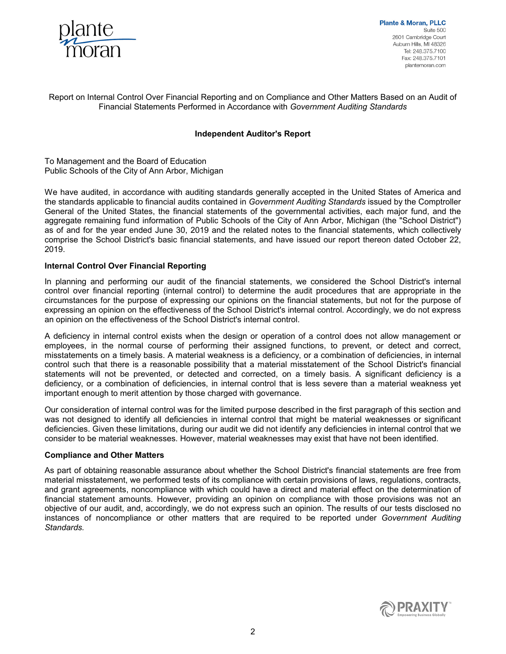

**Plante & Moran, PLLC** Suite 500 2601 Cambridge Court Auburn Hills, MI 48326 Tel: 248.375.7100 Fax: 248.375.7101 plantemoran.com

## Report on Internal Control Over Financial Reporting and on Compliance and Other Matters Based on an Audit of Financial Statements Performed in Accordance with *Government Auditing Standards*

## **Independent Auditor's Report**

To Management and the Board of Education Public Schools of the City of Ann Arbor, Michigan

We have audited, in accordance with auditing standards generally accepted in the United States of America and the standards applicable to financial audits contained in *Government Auditing Standards* issued by the Comptroller General of the United States, the financial statements of the governmental activities, each major fund, and the aggregate remaining fund information of Public Schools of the City of Ann Arbor, Michigan (the "School District") as of and for the year ended June 30, 2019 and the related notes to the financial statements, which collectively comprise the School District's basic financial statements, and have issued our report thereon dated October 22, 2019.

## **Internal Control Over Financial Reporting**

In planning and performing our audit of the financial statements, we considered the School District's internal control over financial reporting (internal control) to determine the audit procedures that are appropriate in the circumstances for the purpose of expressing our opinions on the financial statements, but not for the purpose of expressing an opinion on the effectiveness of the School District's internal control. Accordingly, we do not express an opinion on the effectiveness of the School District's internal control.

A deficiency in internal control exists when the design or operation of a control does not allow management or employees, in the normal course of performing their assigned functions, to prevent, or detect and correct, misstatements on a timely basis. A material weakness is a deficiency, or a combination of deficiencies, in internal control such that there is a reasonable possibility that a material misstatement of the School District's financial statements will not be prevented, or detected and corrected, on a timely basis. A significant deficiency is a deficiency, or a combination of deficiencies, in internal control that is less severe than a material weakness yet important enough to merit attention by those charged with governance.

Our consideration of internal control was for the limited purpose described in the first paragraph of this section and was not designed to identify all deficiencies in internal control that might be material weaknesses or significant deficiencies. Given these limitations, during our audit we did not identify any deficiencies in internal control that we consider to be material weaknesses. However, material weaknesses may exist that have not been identified.

## **Compliance and Other Matters**

As part of obtaining reasonable assurance about whether the School District's financial statements are free from material misstatement, we performed tests of its compliance with certain provisions of laws, regulations, contracts, and grant agreements, noncompliance with which could have a direct and material effect on the determination of financial statement amounts. However, providing an opinion on compliance with those provisions was not an objective of our audit, and, accordingly, we do not express such an opinion. The results of our tests disclosed no instances of noncompliance or other matters that are required to be reported under *Government Auditing Standards.* 

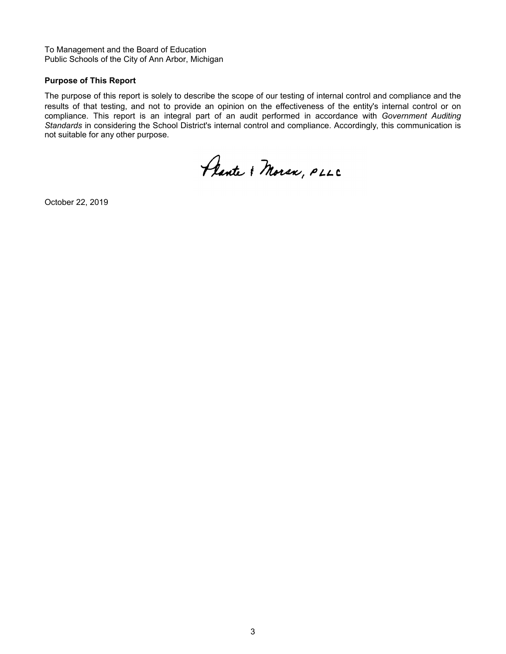To Management and the Board of Education Public Schools of the City of Ann Arbor, Michigan

## **Purpose of This Report**

The purpose of this report is solely to describe the scope of our testing of internal control and compliance and the results of that testing, and not to provide an opinion on the effectiveness of the entity's internal control or on compliance. This report is an integral part of an audit performed in accordance with *Government Auditing Standards* in considering the School District's internal control and compliance. Accordingly, this communication is not suitable for any other purpose.

Plante & Moran, PLLC

October 22, 2019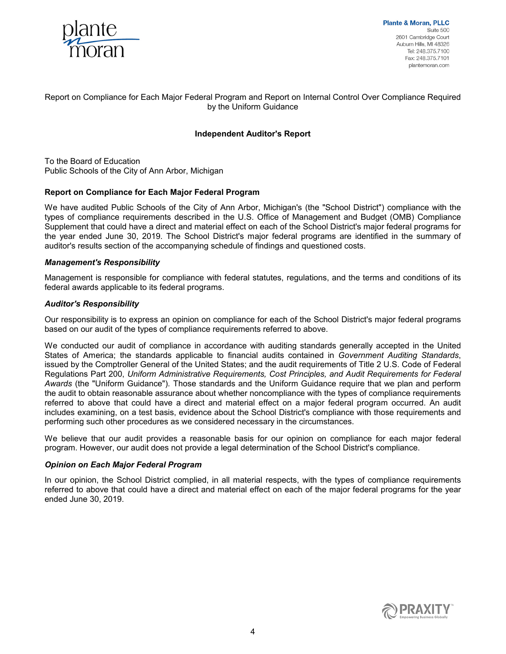

**Plante & Moran, PLLC** Suite 500 2601 Cambridge Court Auburn Hills, MI 48326 Tel: 248.375.7100 Fax: 248.375.7101 plantemoran.com

## Report on Compliance for Each Major Federal Program and Report on Internal Control Over Compliance Required by the Uniform Guidance

## **Independent Auditor's Report**

To the Board of Education Public Schools of the City of Ann Arbor, Michigan

## **Report on Compliance for Each Major Federal Program**

We have audited Public Schools of the City of Ann Arbor, Michigan's (the "School District") compliance with the types of compliance requirements described in the U.S. Office of Management and Budget (OMB) Compliance Supplement that could have a direct and material effect on each of the School District's major federal programs for the year ended June 30, 2019. The School District's major federal programs are identified in the summary of auditor's results section of the accompanying schedule of findings and questioned costs.

## *Management's Responsibility*

Management is responsible for compliance with federal statutes, regulations, and the terms and conditions of its federal awards applicable to its federal programs.

## *Auditor's Responsibility*

Our responsibility is to express an opinion on compliance for each of the School District's major federal programs based on our audit of the types of compliance requirements referred to above.

We conducted our audit of compliance in accordance with auditing standards generally accepted in the United States of America; the standards applicable to financial audits contained in *Government Auditing Standards*, issued by the Comptroller General of the United States; and the audit requirements of Title 2 U.S. Code of Federal Regulations Part 200, *Uniform Administrative Requirements, Cost Principles, and Audit Requirements for Federal Awards* (the "Uniform Guidance")*.* Those standards and the Uniform Guidance require that we plan and perform the audit to obtain reasonable assurance about whether noncompliance with the types of compliance requirements referred to above that could have a direct and material effect on a major federal program occurred. An audit includes examining, on a test basis, evidence about the School District's compliance with those requirements and performing such other procedures as we considered necessary in the circumstances.

We believe that our audit provides a reasonable basis for our opinion on compliance for each major federal program. However, our audit does not provide a legal determination of the School District's compliance.

## *Opinion on Each Major Federal Program*

In our opinion, the School District complied, in all material respects, with the types of compliance requirements referred to above that could have a direct and material effect on each of the major federal programs for the year ended June 30, 2019.

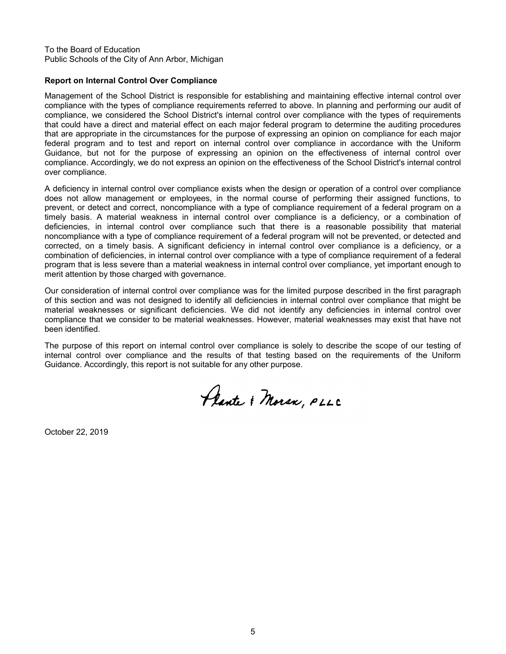To the Board of Education Public Schools of the City of Ann Arbor, Michigan

## **Report on Internal Control Over Compliance**

Management of the School District is responsible for establishing and maintaining effective internal control over compliance with the types of compliance requirements referred to above. In planning and performing our audit of compliance, we considered the School District's internal control over compliance with the types of requirements that could have a direct and material effect on each major federal program to determine the auditing procedures that are appropriate in the circumstances for the purpose of expressing an opinion on compliance for each major federal program and to test and report on internal control over compliance in accordance with the Uniform Guidance, but not for the purpose of expressing an opinion on the effectiveness of internal control over compliance. Accordingly, we do not express an opinion on the effectiveness of the School District's internal control over compliance.

A deficiency in internal control over compliance exists when the design or operation of a control over compliance does not allow management or employees, in the normal course of performing their assigned functions, to prevent, or detect and correct, noncompliance with a type of compliance requirement of a federal program on a timely basis. A material weakness in internal control over compliance is a deficiency, or a combination of deficiencies, in internal control over compliance such that there is a reasonable possibility that material noncompliance with a type of compliance requirement of a federal program will not be prevented, or detected and corrected, on a timely basis. A significant deficiency in internal control over compliance is a deficiency, or a combination of deficiencies, in internal control over compliance with a type of compliance requirement of a federal program that is less severe than a material weakness in internal control over compliance, yet important enough to merit attention by those charged with governance.

Our consideration of internal control over compliance was for the limited purpose described in the first paragraph of this section and was not designed to identify all deficiencies in internal control over compliance that might be material weaknesses or significant deficiencies. We did not identify any deficiencies in internal control over compliance that we consider to be material weaknesses. However, material weaknesses may exist that have not been identified.

The purpose of this report on internal control over compliance is solely to describe the scope of our testing of internal control over compliance and the results of that testing based on the requirements of the Uniform Guidance. Accordingly, this report is not suitable for any other purpose.

Plante & Moran, PLLC

October 22, 2019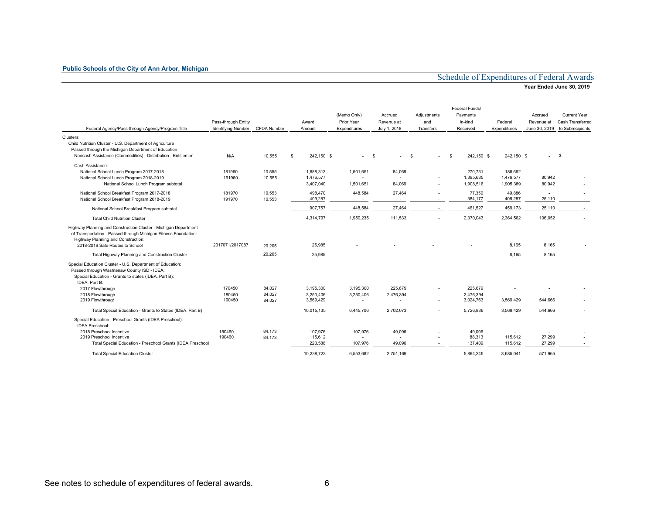# Schedule of Expenditures of Federal Awards

### **Year Ended June 30, 2019**

| Federal Agency/Pass-through Agency/Program Title                                                                                                                                                            | Pass-through Entity<br><b>Identifying Number</b> | CFDA Number      |     | Award<br>Amount                     | (Memo Only)<br>Prior Year<br>Expenditures          | Accrued<br>Revenue at<br>July 1, 2018 | Adjustments<br>and<br>Transfers |    | Federal Funds/<br>Payments<br>In-kind<br>Received | Federal<br>Expenditures           | Accrued<br>Revenue at<br>June 30, 2019 | <b>Current Year</b><br>Cash Transferred<br>to Subrecipients |
|-------------------------------------------------------------------------------------------------------------------------------------------------------------------------------------------------------------|--------------------------------------------------|------------------|-----|-------------------------------------|----------------------------------------------------|---------------------------------------|---------------------------------|----|---------------------------------------------------|-----------------------------------|----------------------------------------|-------------------------------------------------------------|
| Clusters:<br>Child Nutrition Cluster - U.S. Department of Agriculture<br>Passed through the Michigan Department of Education<br>Noncash Assistance (Commodities) - Distribution - Entitlemen                | N/A                                              | 10.555           | \$. | 242,150 \$                          | ÷.                                                 | $^{\circ}$                            | -S<br>÷.                        | -S | 242,150 \$                                        | 242,150 \$                        | $-5$                                   |                                                             |
| Cash Assistance:<br>National School Lunch Program 2017-2018<br>National School Lunch Program 2018-2019<br>National School Lunch Program subtotal                                                            | 181960<br>191960                                 | 10.555<br>10.555 |     | 1.688.313<br>1,476,577<br>3,407,040 | 1,501,651<br>$\overline{\phantom{a}}$<br>1,501,651 | 84,069<br>84,069                      | $\overline{\phantom{a}}$        |    | 270.731<br>1,395,635<br>1,908,516                 | 186.662<br>1,476,577<br>1,905,389 | 80,942<br>80,942                       |                                                             |
| National School Breakfast Program 2017-2018<br>National School Breakfast Program 2018-2019                                                                                                                  | 181970<br>191970                                 | 10.553<br>10.553 |     | 498,470<br>409,287                  | 448,584<br>$\sim$                                  | 27,464                                |                                 |    | 77,350<br>384,177                                 | 49,886<br>409,287                 | $\overline{\phantom{a}}$<br>25,110     |                                                             |
| National School Breakfast Program subtotal                                                                                                                                                                  |                                                  |                  |     | 907,757                             | 448,584                                            | 27,464                                |                                 |    | 461,527                                           | 459,173                           | 25,110                                 |                                                             |
| <b>Total Child Nutrition Cluster</b>                                                                                                                                                                        |                                                  |                  |     | 4,314,797                           | 1,950,235                                          | 111,533                               |                                 |    | 2,370,043                                         | 2,364,562                         | 106,052                                |                                                             |
| Highway Planning and Construction Cluster - Michigan Department<br>of Transportation - Passed through Michigan Fitness Foundation:<br>Highway Planning and Construction:<br>2018-2019 Safe Routes to School | 2017071/2017087                                  | 20.205           |     | 25,985                              |                                                    |                                       |                                 |    |                                                   | 8,165                             | 8,165                                  |                                                             |
| Total Highway Planning and Construction Cluster                                                                                                                                                             |                                                  | 20.205           |     | 25,985                              |                                                    |                                       |                                 |    |                                                   | 8.165                             | 8.165                                  |                                                             |
| Special Education Cluster - U.S. Department of Education:<br>Passed through Washtenaw County ISD - IDEA:<br>Special Education - Grants to states (IDEA, Part B):<br>IDEA, Part B:<br>2017 Flowthrough       | 170450                                           | 84.027           |     | 3,195,300                           | 3,195,300                                          | 225.679                               |                                 |    | 225,679                                           |                                   |                                        |                                                             |
| 2018 Flowthrough                                                                                                                                                                                            | 180450                                           | 84.027           |     | 3.250.406                           | 3,250,406                                          | 2,476,394                             | $\sim$                          |    | 2,476,394                                         |                                   |                                        |                                                             |
| 2019 Flowthrough<br>Total Special Education - Grants to States (IDEA, Part B)<br>Special Education - Preschool Grants (IDEA Preschool):                                                                     | 190450                                           | 84.027           |     | 3,569,429<br>10,015,135             | $\overline{\phantom{a}}$<br>6,445,706              | 2,702,073                             | $\overline{\phantom{a}}$        |    | 3,024,763<br>5,726,836                            | 3,569,429<br>3,569,429            | 544.666<br>544,666                     |                                                             |
| <b>IDEA Preschool:</b><br>2018 Preschool Incentive<br>2019 Preschool Incentive<br>Total Special Education - Preschool Grants (IDEA Preschool                                                                | 180460<br>190460                                 | 84.173<br>84.173 |     | 107,976<br>115,612<br>223,588       | 107,976<br>107,976                                 | 49,096<br>49.096                      | $\overline{\phantom{a}}$        |    | 49,096<br>88,313<br>137,409                       | 115,612<br>115,612                | 27,299<br>27,299                       |                                                             |
| <b>Total Special Education Cluster</b>                                                                                                                                                                      |                                                  |                  |     | 10.238.723                          | 6.553.682                                          | 2.751.169                             |                                 |    | 5.864.245                                         | 3.685.041                         | 571.965                                |                                                             |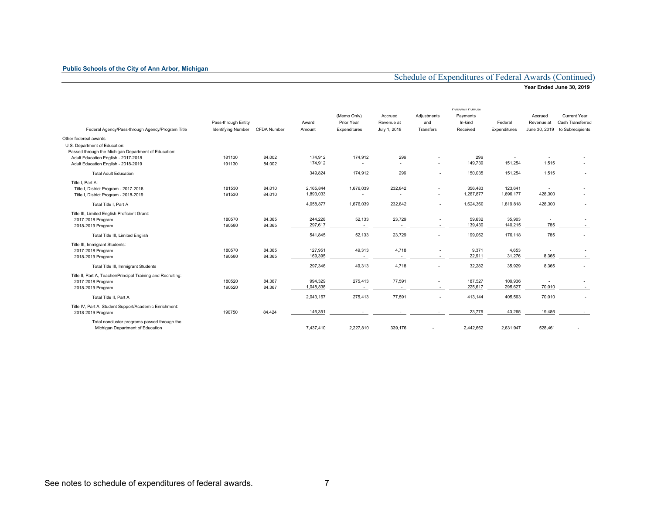## Schedule of Expenditures of Federal Awards (Continued)

## **Year Ended June 30, 2019**

| Federal Agency/Pass-through Agency/Program Title                                                                                                                    | Pass-through Entity<br><b>Identifying Number</b> | <b>CFDA Number</b> | Award<br>Amount               | (Memo Only)<br>Prior Year<br>Expenditures | Accrued<br>Revenue at<br>July 1, 2018      | Adjustments<br>and<br>Transfers    | regeral rungs<br>Payments<br>In-kind<br>Received | Federal<br>Expenditures   | Accrued<br>Revenue at<br>June 30, 2019 | <b>Current Year</b><br>Cash Transferred<br>to Subrecipients |
|---------------------------------------------------------------------------------------------------------------------------------------------------------------------|--------------------------------------------------|--------------------|-------------------------------|-------------------------------------------|--------------------------------------------|------------------------------------|--------------------------------------------------|---------------------------|----------------------------------------|-------------------------------------------------------------|
| Other federeal awards                                                                                                                                               |                                                  |                    |                               |                                           |                                            |                                    |                                                  |                           |                                        |                                                             |
| U.S. Department of Education:<br>Passed through the Michigan Department of Education:<br>Adult Education English - 2017-2018<br>Adult Education English - 2018-2019 | 181130<br>191130                                 | 84.002<br>84.002   | 174,912<br>174,912            | 174,912<br>$\sim$                         | 296<br>$\overline{\phantom{a}}$            |                                    | 296<br>149,739                                   | 151,254                   | 1,515                                  |                                                             |
| <b>Total Adult Education</b>                                                                                                                                        |                                                  |                    | 349,824                       | 174,912                                   | 296                                        | $\overline{\phantom{a}}$           | 150,035                                          | 151,254                   | 1,515                                  | $\sim$                                                      |
| Title I. Part A:<br>Title I, District Program - 2017-2018<br>Title I, District Program - 2018-2019                                                                  | 181530<br>191530                                 | 84.010<br>84.010   | 2,165,844<br>1,893,033        | 1,676,039<br>$\sim$                       | 232,842<br>$\sim$                          | $\sim$<br>$\sim$                   | 356,483<br>1,267,877                             | 123,641<br>1,696,177      | $\overline{\phantom{a}}$<br>428,300    |                                                             |
| Total Title I. Part A                                                                                                                                               |                                                  |                    | 4,058,877                     | 1,676,039                                 | 232,842                                    | $\overline{\phantom{a}}$           | 1,624,360                                        | 1,819,818                 | 428,300                                |                                                             |
| Title III, Limited English Proficient Grant:<br>2017-2018 Program<br>2018-2019 Program                                                                              | 180570<br>190580                                 | 84.365<br>84.365   | 244,228<br>297,617            | 52,133<br>$\sim$                          | 23,729<br>$\sim$                           | $\overline{\phantom{a}}$<br>$\sim$ | 59,632<br>139,430                                | 35,903<br>140,215         | 785                                    |                                                             |
| Total Title III, Limited English                                                                                                                                    |                                                  |                    | 541,845                       | 52,133                                    | 23,729                                     | $\overline{\phantom{a}}$           | 199,062                                          | 176,118                   | 785                                    | $\sim$                                                      |
| Title III, Immigrant Students:<br>2017-2018 Program<br>2018-2019 Program                                                                                            | 180570<br>190580                                 | 84.365<br>84.365   | 127,951<br>169,395<br>297,346 | 49,313<br>$\sim$<br>49,313                | 4,718<br>$\overline{\phantom{a}}$<br>4.718 | $\sim$<br>$\overline{\phantom{a}}$ | 9.371<br>22,911<br>32,282                        | 4.653<br>31,276<br>35.929 | 8,365<br>8,365                         | $\sim$                                                      |
| Total Title III, Immigrant Students                                                                                                                                 |                                                  |                    |                               |                                           |                                            |                                    |                                                  |                           |                                        |                                                             |
| Title II, Part A, Teacher/Principal Training and Recruiting:<br>2017-2018 Program<br>2018-2019 Program                                                              | 180520<br>190520                                 | 84.367<br>84.367   | 994,329<br>1,048,838          | 275,413<br>$\sim$                         | 77,591                                     | $\overline{\phantom{a}}$           | 187,527<br>225,617                               | 109,936<br>295,627        | 70,010                                 |                                                             |
| Total Title II, Part A                                                                                                                                              |                                                  |                    | 2,043,167                     | 275,413                                   | 77.591                                     | $\overline{\phantom{a}}$           | 413,144                                          | 405,563                   | 70,010                                 |                                                             |
| Title IV, Part A, Student Support/Academic Enrichment:<br>2018-2019 Program                                                                                         | 190750                                           | 84.424             | 146,351                       |                                           |                                            |                                    | 23,779                                           | 43,265                    | 19,486                                 |                                                             |
| Total noncluster programs passed through the<br>Michigan Department of Education                                                                                    |                                                  |                    | 7,437,410                     | 2,227,810                                 | 339,176                                    |                                    | 2,442,662                                        | 2,631,947                 | 528,461                                |                                                             |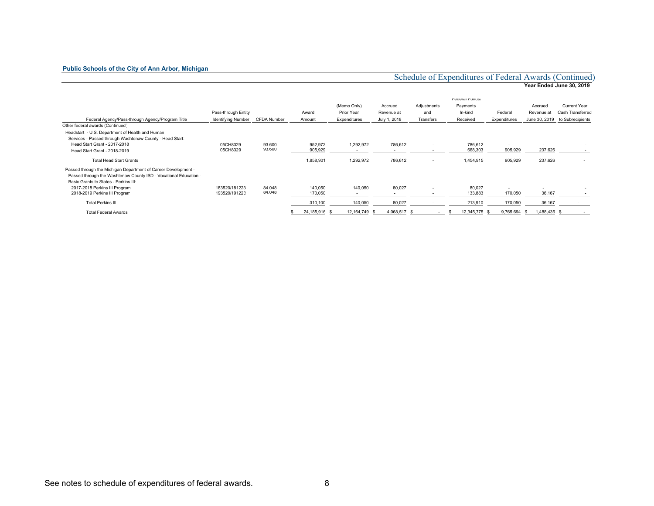# Schedule of Expenditures of Federal Awards (Continued) **Year Ended June 30, 2019**

| Federal Agency/Pass-through Agency/Program Title                                                                                                                            | Pass-through Entity<br><b>Identifying Number</b> | <b>CFDA Number</b> | Award<br>Amount | (Memo Only)<br>Prior Year<br>Expenditures | Accrued<br>Revenue at<br>July 1, 2018 | Adjustments<br>and<br>Transfers | regeral rungs<br>Payments<br>In-kind<br>Received | Federal<br>Expenditures  | Accrued<br>Revenue at<br>June 30, 2019 | <b>Current Year</b><br>Cash Transferred<br>to Subrecipients |
|-----------------------------------------------------------------------------------------------------------------------------------------------------------------------------|--------------------------------------------------|--------------------|-----------------|-------------------------------------------|---------------------------------------|---------------------------------|--------------------------------------------------|--------------------------|----------------------------------------|-------------------------------------------------------------|
| Other federal awards (Continued)                                                                                                                                            |                                                  |                    |                 |                                           |                                       |                                 |                                                  |                          |                                        |                                                             |
| Headstart - U.S. Department of Health and Human<br>Services - Passed through Washtenaw County - Head Start:                                                                 |                                                  |                    |                 |                                           |                                       |                                 |                                                  |                          |                                        |                                                             |
| Head Start Grant - 2017-2018                                                                                                                                                | 05CH8329                                         | 93,600             | 952,972         | 1,292,972                                 | 786,612                               | $\overline{\phantom{a}}$        | 786,612                                          | $\overline{\phantom{a}}$ |                                        | $\sim$                                                      |
| Head Start Grant - 2018-2019                                                                                                                                                | 05CH8329                                         | 93.600             | 905,929         |                                           | $\overline{\phantom{a}}$              |                                 | 668,303                                          | 905,929                  | 237,626                                |                                                             |
| <b>Total Head Start Grants</b>                                                                                                                                              |                                                  |                    | 1,858,901       | 1,292,972                                 | 786,612                               | $\overline{\phantom{a}}$        | 1,454,915                                        | 905,929                  | 237,626                                | $\sim$                                                      |
| Passed through the Michigan Department of Career Development -<br>Passed through the Washtenaw County ISD - Vocational Education -<br>Basic Grants to States - Perkins III: |                                                  |                    |                 |                                           |                                       |                                 |                                                  |                          |                                        |                                                             |
| 2017-2018 Perkins III Program                                                                                                                                               | 183520/181223                                    | 84.048             | 140,050         | 140,050                                   | 80,027                                |                                 | 80,027                                           |                          |                                        |                                                             |
| 2018-2019 Perkins III Program                                                                                                                                               | 193520/191223                                    | 84.048             | 170,050         |                                           |                                       |                                 | 133,883                                          | 170,050                  | 36,167                                 |                                                             |
| <b>Total Perkins III</b>                                                                                                                                                    |                                                  |                    | 310,100         | 140,050                                   | 80,027                                |                                 | 213,910                                          | 170,050                  | 36,167                                 |                                                             |
| <b>Total Federal Awards</b>                                                                                                                                                 |                                                  |                    | 24, 185, 916 \$ | 12, 164, 749 \$                           | 4,068,517 \$                          | $\overline{\phantom{a}}$        | 12,345,775                                       | 9,765,694                | 1,488,436 \$<br>- 36                   |                                                             |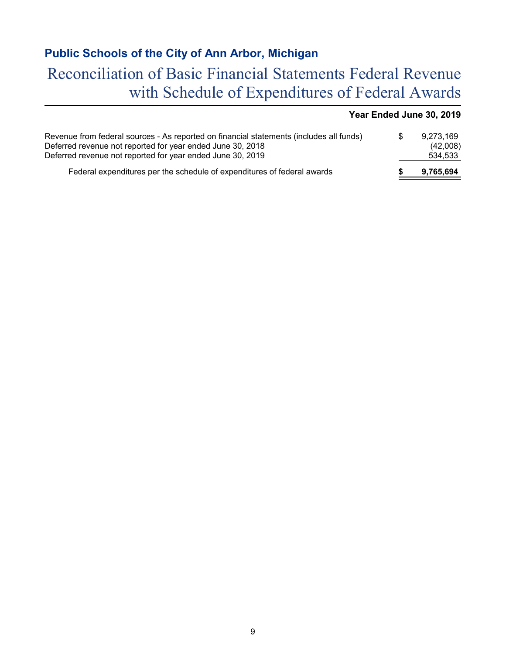# Reconciliation of Basic Financial Statements Federal Revenue with Schedule of Expenditures of Federal Awards

# **Year Ended June 30, 2019**

| Deferred revenue not reported for year ended June 30, 2019<br>Federal expenditures per the schedule of expenditures of federal awards                 |      | 534,533<br>9,765,694  |
|-------------------------------------------------------------------------------------------------------------------------------------------------------|------|-----------------------|
| Revenue from federal sources - As reported on financial statements (includes all funds)<br>Deferred revenue not reported for year ended June 30, 2018 | - \$ | 9.273.169<br>(42,008) |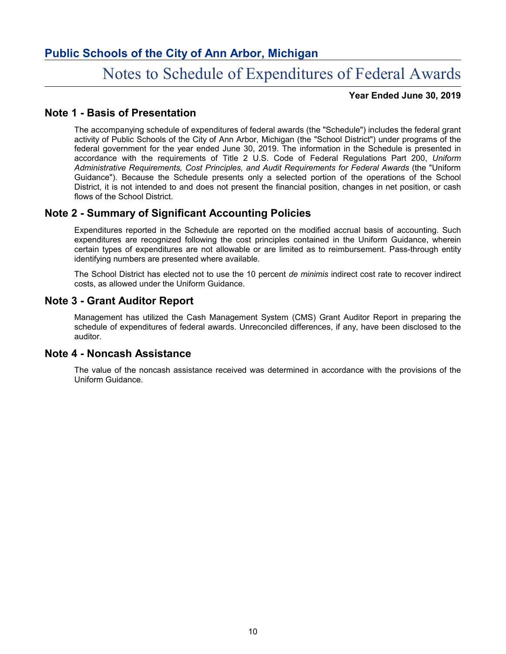# Notes to Schedule of Expenditures of Federal Awards

## **Year Ended June 30, 2019**

# **Note 1 - Basis of Presentation**

The accompanying schedule of expenditures of federal awards (the "Schedule") includes the federal grant activity of Public Schools of the City of Ann Arbor, Michigan (the "School District") under programs of the federal government for the year ended June 30, 2019. The information in the Schedule is presented in accordance with the requirements of Title 2 U.S. Code of Federal Regulations Part 200, *Uniform Administrative Requirements, Cost Principles, and Audit Requirements for Federal Awards* (the "Uniform Guidance"). Because the Schedule presents only a selected portion of the operations of the School District, it is not intended to and does not present the financial position, changes in net position, or cash flows of the School District.

# **Note 2 - Summary of Significant Accounting Policies**

Expenditures reported in the Schedule are reported on the modified accrual basis of accounting. Such expenditures are recognized following the cost principles contained in the Uniform Guidance, wherein certain types of expenditures are not allowable or are limited as to reimbursement. Pass-through entity identifying numbers are presented where available.

The School District has elected not to use the 10 percent *de minimis* indirect cost rate to recover indirect costs, as allowed under the Uniform Guidance.

# **Note 3 - Grant Auditor Report**

Management has utilized the Cash Management System (CMS) Grant Auditor Report in preparing the schedule of expenditures of federal awards. Unreconciled differences, if any, have been disclosed to the auditor.

# **Note 4 - Noncash Assistance**

The value of the noncash assistance received was determined in accordance with the provisions of the Uniform Guidance.